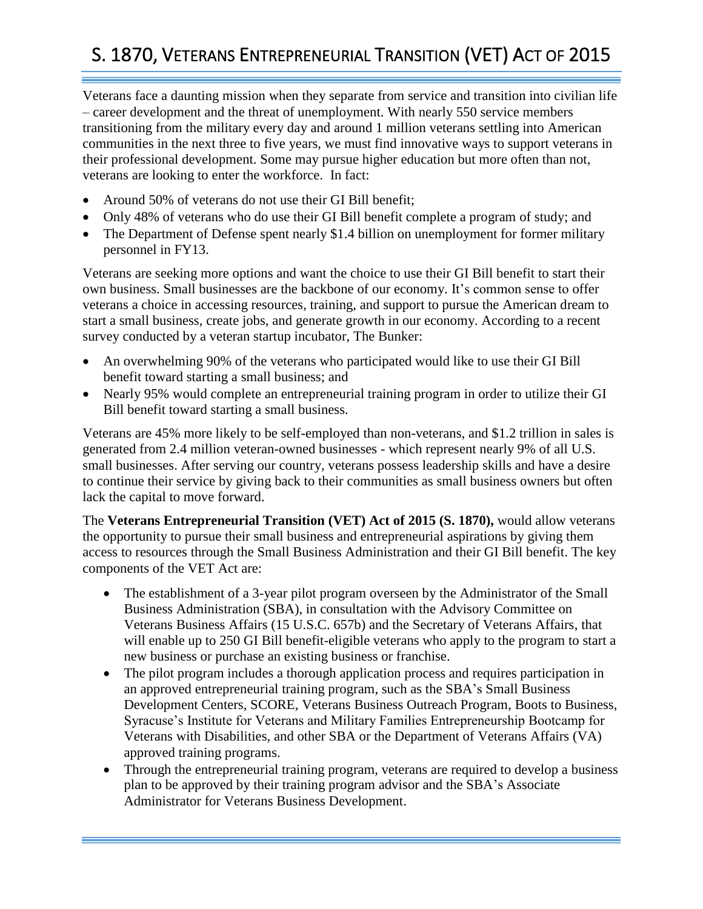## S. 1870, VETERANS ENTREPRENEURIAL TRANSITION (VET) ACT OF 2015

Veterans face a daunting mission when they separate from service and transition into civilian life – career development and the threat of unemployment. With nearly 550 service members transitioning from the military every day and around 1 million veterans settling into American communities in the next three to five years, we must find innovative ways to support veterans in their professional development. Some may pursue higher education but more often than not, veterans are looking to enter the workforce. In fact:

- Around 50% of veterans do not use their GI Bill benefit;
- Only 48% of veterans who do use their GI Bill benefit complete a program of study; and
- The Department of Defense spent nearly \$1.4 billion on unemployment for former military personnel in FY13.

Veterans are seeking more options and want the choice to use their GI Bill benefit to start their own business. Small businesses are the backbone of our economy. It's common sense to offer veterans a choice in accessing resources, training, and support to pursue the American dream to start a small business, create jobs, and generate growth in our economy. According to a recent survey conducted by a veteran startup incubator, The Bunker:

- An overwhelming 90% of the veterans who participated would like to use their GI Bill benefit toward starting a small business; and
- Nearly 95% would complete an entrepreneurial training program in order to utilize their GI Bill benefit toward starting a small business.

Veterans are 45% more likely to be self-employed than non-veterans, and \$1.2 trillion in sales is generated from 2.4 million veteran-owned businesses - which represent nearly 9% of all U.S. small businesses. After serving our country, veterans possess leadership skills and have a desire to continue their service by giving back to their communities as small business owners but often lack the capital to move forward.

The **Veterans Entrepreneurial Transition (VET) Act of 2015 (S. 1870),** would allow veterans the opportunity to pursue their small business and entrepreneurial aspirations by giving them access to resources through the Small Business Administration and their GI Bill benefit. The key components of the VET Act are:

- The establishment of a 3-year pilot program overseen by the Administrator of the Small Business Administration (SBA), in consultation with the Advisory Committee on Veterans Business Affairs (15 U.S.C. 657b) and the Secretary of Veterans Affairs, that will enable up to 250 GI Bill benefit-eligible veterans who apply to the program to start a new business or purchase an existing business or franchise.
- The pilot program includes a thorough application process and requires participation in an approved entrepreneurial training program, such as the SBA's Small Business Development Centers, SCORE, Veterans Business Outreach Program, Boots to Business, Syracuse's Institute for Veterans and Military Families Entrepreneurship Bootcamp for Veterans with Disabilities, and other SBA or the Department of Veterans Affairs (VA) approved training programs.
- Through the entrepreneurial training program, veterans are required to develop a business plan to be approved by their training program advisor and the SBA's Associate Administrator for Veterans Business Development.